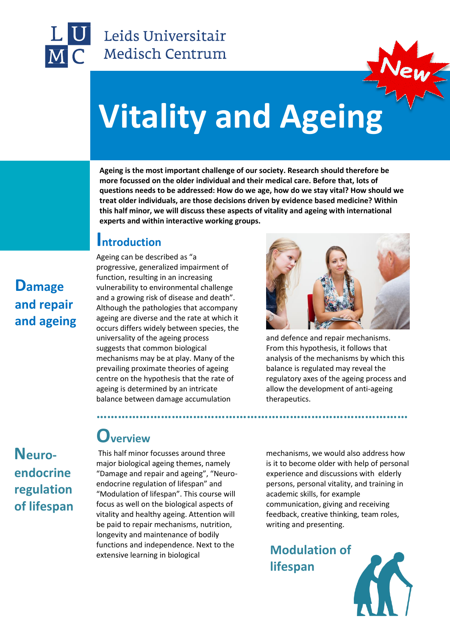

## Leids Universitair Medisch Centrum



# **Vitality and Agei[ng](https://www.google.nl/url?sa=i&rct=j&q=&esrc=s&source=images&cd=&cad=rja&uact=8&ved=0ahUKEwin88zO0PjSAhVCIsAKHSDZBnoQjRwIBw&url=https://www.tcd.ie/slscs/assets/images/&bvm=bv.150729734,d.ZGg&psig=AFQjCNG3mS11oCUtjNhD-N9wyHC07f0bnw&ust=1490770901096706)**

**Ageing is the most important challenge of our society. Research should therefore be more focussed on the older individual and their medical care. Before that, lots of questions needs to be addressed: How do we age, how do we stay vital? How should we treat older individuals, are those decisions driven by evidence based medicine? Within this half minor, we will discuss these aspects of vitality and ageing with international experts and within interactive working groups.**

**……………………………………………………………………………**

#### **Introduction**

Ageing can be described as "a progressive, generalized impairment of function, resulting in an increasing vulnerability to environmental challenge and a growing risk of disease and death". Although the pathologies that accompany ageing are diverse and the rate at which it occurs differs widely between species, the universality of the ageing process suggests that common biological mechanisms may be at play. Many of the prevailing proximate theories of ageing centre on the hypothesis that the rate of ageing is determined by an intricate balance between damage accumulation



and defence and repair mechanisms. From this hypothesis, it follows that analysis of the mechanisms by which this balance is regulated may reveal the regulatory axes of the ageing process and allow the development of anti-ageing therapeutics.

# **Overview**

This half minor focusses around three major biological ageing themes, namely "Damage and repair and ageing", "Neuroendocrine regulation of lifespan" and "Modulation of lifespan". This course will focus as well on the biological aspects of vitality and healthy ageing. Attention will be paid to repair mechanisms, nutrition, longevity and maintenance of bodily functions and independence. Next to the extensive learning in biological

mechanisms, we would also address how is it to become older with help of personal experience and discussions with elderly persons, personal vitality, and training in academic skills, for example communication, giving and receiving feedback, creative thinking, team roles, writing and presenting.

**Modulation of lifespan**



#### **Damage and repair and ageing**

#### **Neuroendocrine regulation of lifespan**